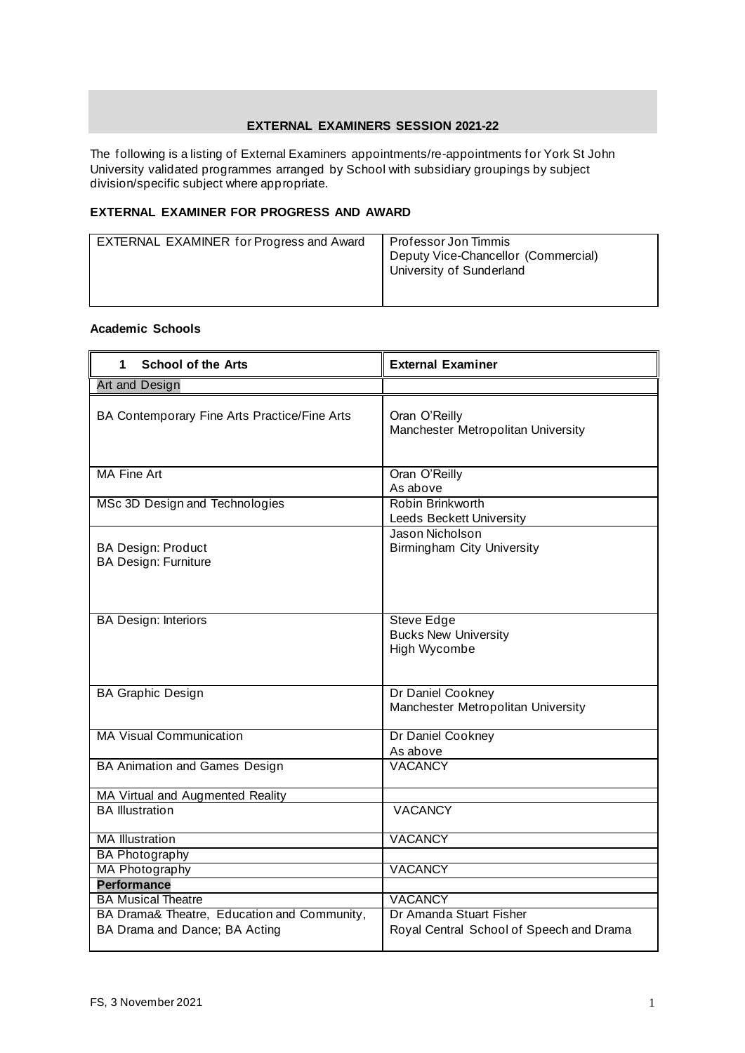## **EXTERNAL EXAMINERS SESSION 2021-22**

The following is a listing of External Examiners appointments/re-appointments for York St John University validated programmes arranged by School with subsidiary groupings by subject division/specific subject where appropriate.

## **EXTERNAL EXAMINER FOR PROGRESS AND AWARD**

| EXTERNAL EXAMINER for Progress and Award | Professor Jon Timmis<br>Deputy Vice-Chancellor (Commercial)<br>University of Sunderland |
|------------------------------------------|-----------------------------------------------------------------------------------------|
|                                          |                                                                                         |

## **Academic Schools**

| <b>School of the Arts</b><br>1                                               | <b>External Examiner</b>                                            |
|------------------------------------------------------------------------------|---------------------------------------------------------------------|
| <b>Art and Design</b>                                                        |                                                                     |
| BA Contemporary Fine Arts Practice/Fine Arts                                 | Oran O'Reilly<br>Manchester Metropolitan University                 |
| <b>MA Fine Art</b>                                                           | Oran O'Reilly<br>As above                                           |
| MSc 3D Design and Technologies                                               | Robin Brinkworth<br>Leeds Beckett University                        |
| <b>BA Design: Product</b><br><b>BA Design: Furniture</b>                     | Jason Nicholson<br><b>Birmingham City University</b>                |
| <b>BA Design: Interiors</b>                                                  | <b>Steve Edge</b><br><b>Bucks New University</b><br>High Wycombe    |
| <b>BA Graphic Design</b>                                                     | Dr Daniel Cookney<br>Manchester Metropolitan University             |
| <b>MA Visual Communication</b>                                               | Dr Daniel Cookney<br>As above                                       |
| BA Animation and Games Design                                                | <b>VACANCY</b>                                                      |
| MA Virtual and Augmented Reality                                             |                                                                     |
| <b>BA Illustration</b>                                                       | <b>VACANCY</b>                                                      |
| <b>MA Illustration</b>                                                       | <b>VACANCY</b>                                                      |
| <b>BA Photography</b>                                                        |                                                                     |
| <b>MA Photography</b>                                                        | <b>VACANCY</b>                                                      |
| <b>Performance</b>                                                           |                                                                     |
| <b>BA Musical Theatre</b>                                                    | <b>VACANCY</b>                                                      |
| BA Drama& Theatre, Education and Community,<br>BA Drama and Dance; BA Acting | Dr Amanda Stuart Fisher<br>Royal Central School of Speech and Drama |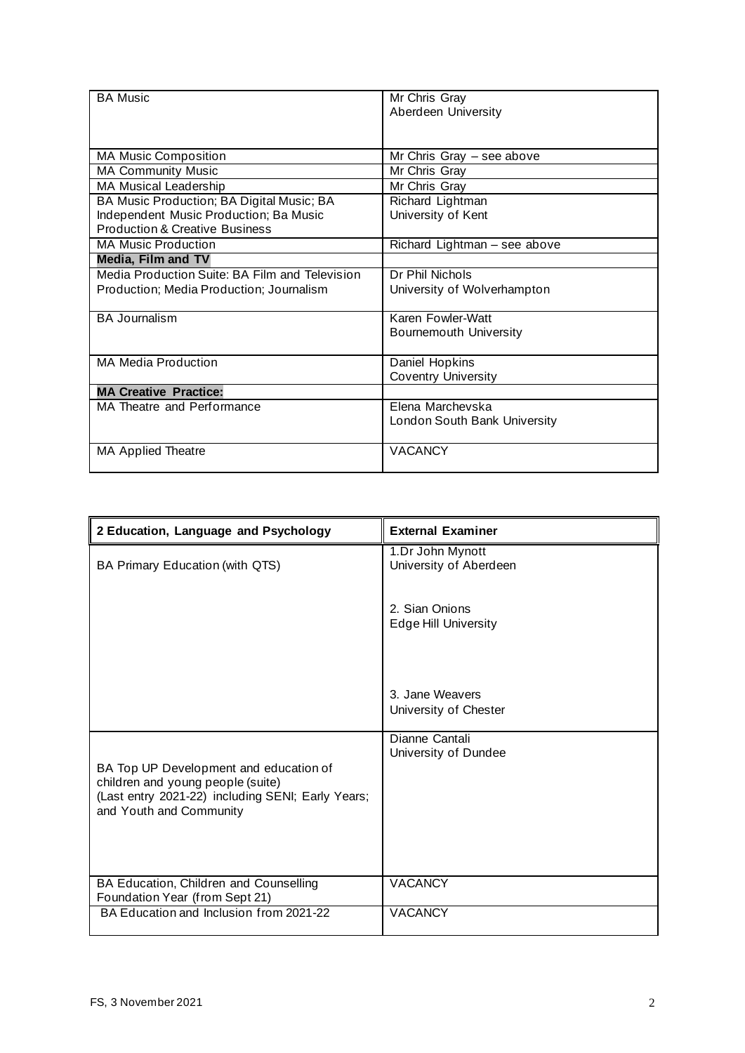| <b>BA Music</b>                                | Mr Chris Gray                 |
|------------------------------------------------|-------------------------------|
|                                                | Aberdeen University           |
|                                                |                               |
|                                                |                               |
| <b>MA Music Composition</b>                    | Mr Chris Gray $-$ see above   |
| <b>MA Community Music</b>                      | Mr Chris Gray                 |
| MA Musical Leadership                          | Mr Chris Gray                 |
| BA Music Production; BA Digital Music; BA      | Richard Lightman              |
| Independent Music Production; Ba Music         | University of Kent            |
| <b>Production &amp; Creative Business</b>      |                               |
| <b>MA Music Production</b>                     | Richard Lightman - see above  |
| <b>Media, Film and TV</b>                      |                               |
| Media Production Suite: BA Film and Television | Dr Phil Nichols               |
| Production; Media Production; Journalism       | University of Wolverhampton   |
|                                                |                               |
| <b>BA Journalism</b>                           | Karen Fowler-Watt             |
|                                                | <b>Bournemouth University</b> |
|                                                |                               |
| <b>MA Media Production</b>                     | Daniel Hopkins                |
|                                                | <b>Coventry University</b>    |
| <b>MA Creative Practice:</b>                   |                               |
| MA Theatre and Performance                     | Elena Marchevska              |
|                                                | London South Bank University  |
|                                                |                               |
| MA Applied Theatre                             | <b>VACANCY</b>                |
|                                                |                               |

| 2 Education, Language and Psychology                                                                                                                        | <b>External Examiner</b>                      |
|-------------------------------------------------------------------------------------------------------------------------------------------------------------|-----------------------------------------------|
| BA Primary Education (with QTS)                                                                                                                             | 1.Dr John Mynott<br>University of Aberdeen    |
|                                                                                                                                                             | 2. Sian Onions<br><b>Edge Hill University</b> |
|                                                                                                                                                             | 3. Jane Weavers<br>University of Chester      |
| BA Top UP Development and education of<br>children and young people (suite)<br>(Last entry 2021-22) including SENI; Early Years;<br>and Youth and Community | Dianne Cantali<br>University of Dundee        |
| BA Education, Children and Counselling<br>Foundation Year (from Sept 21)                                                                                    | <b>VACANCY</b>                                |
| BA Education and Inclusion from 2021-22                                                                                                                     | <b>VACANCY</b>                                |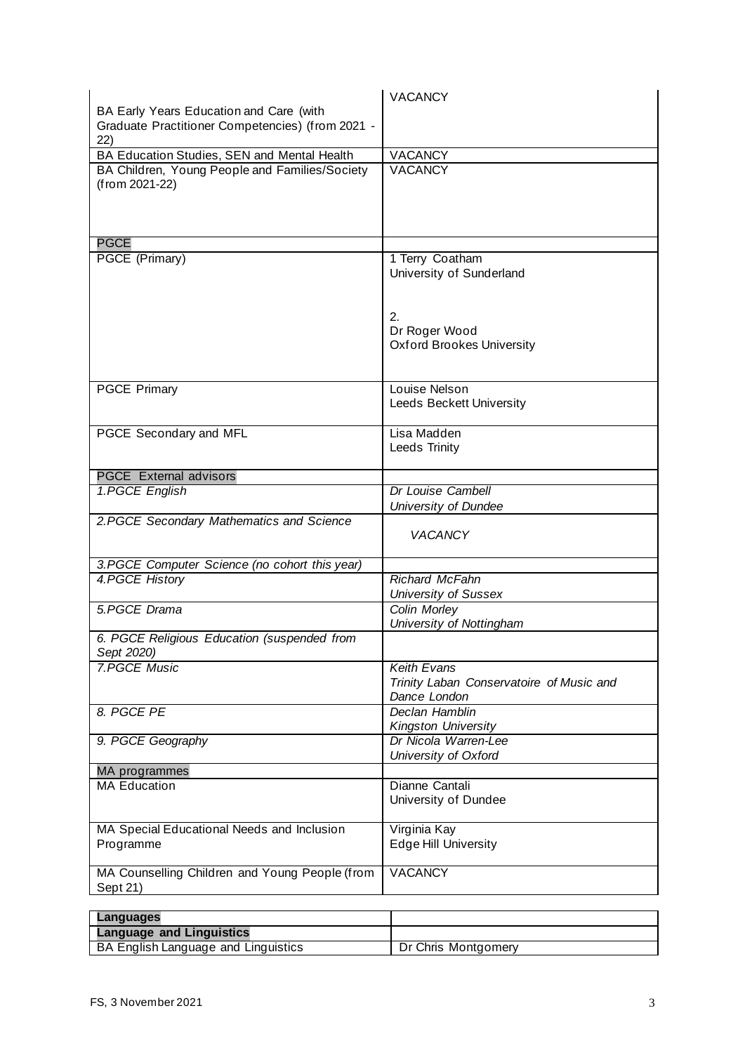|                                                                  | <b>VACANCY</b>                                           |
|------------------------------------------------------------------|----------------------------------------------------------|
| BA Early Years Education and Care (with                          |                                                          |
| Graduate Practitioner Competencies) (from 2021 -                 |                                                          |
| 22)                                                              |                                                          |
| BA Education Studies, SEN and Mental Health                      | <b>VACANCY</b>                                           |
| BA Children, Young People and Families/Society<br>(from 2021-22) | <b>VACANCY</b>                                           |
| <b>PGCE</b>                                                      |                                                          |
| PGCE (Primary)                                                   | 1 Terry Coatham                                          |
|                                                                  | University of Sunderland                                 |
|                                                                  | 2.<br>Dr Roger Wood<br><b>Oxford Brookes University</b>  |
| <b>PGCE Primary</b>                                              | Louise Nelson<br><b>Leeds Beckett University</b>         |
| PGCE Secondary and MFL                                           | Lisa Madden<br>Leeds Trinity                             |
| <b>PGCE</b> External advisors                                    |                                                          |
| 1.PGCE English                                                   | Dr Louise Cambell                                        |
|                                                                  | University of Dundee                                     |
| 2. PGCE Secondary Mathematics and Science                        | <b>VACANCY</b>                                           |
| 3. PGCE Computer Science (no cohort this year)                   |                                                          |
| 4. PGCE History                                                  | <b>Richard McFahn</b>                                    |
|                                                                  | <b>University of Sussex</b>                              |
| 5.PGCE Drama                                                     | Colin Morley<br>University of Nottingham                 |
| 6. PGCE Religious Education (suspended from<br>Sept 2020)        |                                                          |
| <b>7.PGCE Music</b>                                              | <b>Keith Evans</b>                                       |
|                                                                  | Trinity Laban Conservatoire of Music and<br>Dance London |
| 8. PGCE PE                                                       | Declan Hamblin<br>Kingston University                    |
| 9. PGCE Geography                                                | Dr Nicola Warren-Lee<br>University of Oxford             |
| MA programmes                                                    |                                                          |
| <b>MA Education</b>                                              | Dianne Cantali                                           |
|                                                                  | University of Dundee                                     |
| MA Special Educational Needs and Inclusion<br>Programme          | Virginia Kay<br><b>Edge Hill University</b>              |
|                                                                  |                                                          |
| MA Counselling Children and Young People (from<br>Sept 21)       | <b>VACANCY</b>                                           |
|                                                                  |                                                          |

| ∣ Languages                                |                     |
|--------------------------------------------|---------------------|
| <b>Language and Linguistics</b>            |                     |
| <b>BA English Language and Linguistics</b> | Dr Chris Montgomery |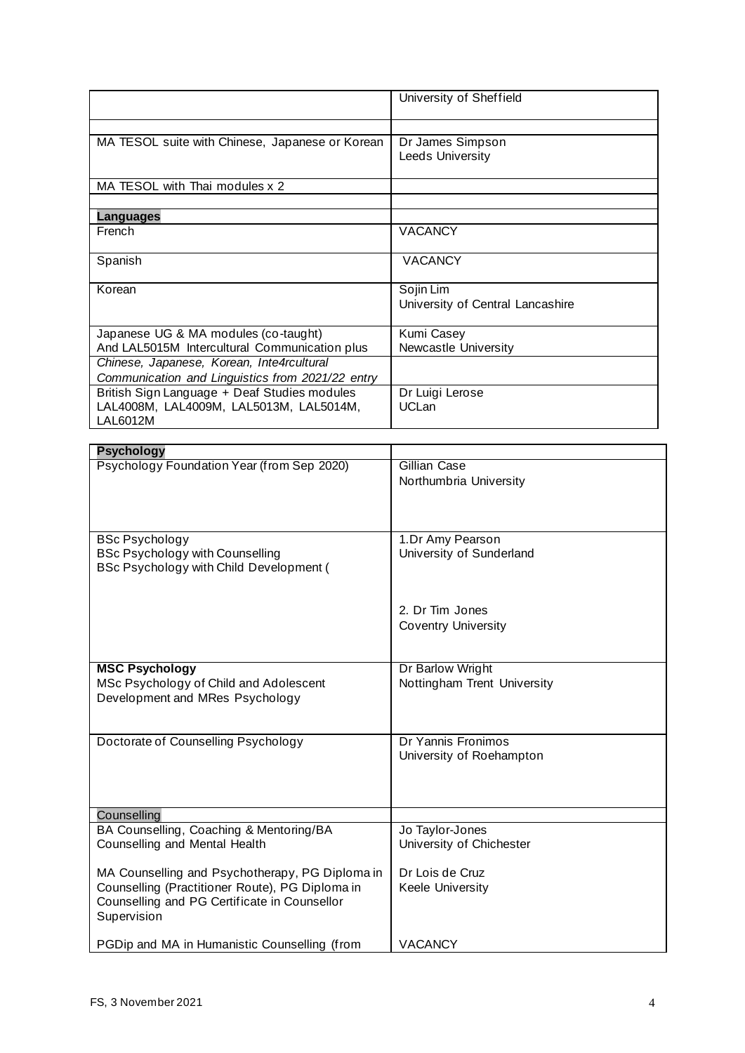|                                                                                                                                                                   | University of Sheffield                         |
|-------------------------------------------------------------------------------------------------------------------------------------------------------------------|-------------------------------------------------|
| MA TESOL suite with Chinese, Japanese or Korean                                                                                                                   | Dr James Simpson<br>Leeds University            |
| MA TESOL with Thai modules x 2                                                                                                                                    |                                                 |
| <b>Languages</b>                                                                                                                                                  |                                                 |
| French                                                                                                                                                            | <b>VACANCY</b>                                  |
| Spanish                                                                                                                                                           | <b>VACANCY</b>                                  |
| Korean                                                                                                                                                            | Sojin Lim<br>University of Central Lancashire   |
| Japanese UG & MA modules (co-taught)<br>And LAL5015M Intercultural Communication plus<br>Chinese, Japanese, Korean, Inte4rcultural                                | Kumi Casey<br>Newcastle University              |
| Communication and Linguistics from 2021/22 entry<br>British Sign Language + Deaf Studies modules<br>LAL4008M, LAL4009M, LAL5013M, LAL5014M,<br><b>LAL6012M</b>    | Dr Luigi Lerose<br><b>UCLan</b>                 |
| <b>Psychology</b>                                                                                                                                                 |                                                 |
| Psychology Foundation Year (from Sep 2020)                                                                                                                        | Gillian Case<br>Northumbria University          |
| <b>BSc Psychology</b><br><b>BSc Psychology with Counselling</b><br>BSc Psychology with Child Development (                                                        | 1.Dr Amy Pearson<br>University of Sunderland    |
|                                                                                                                                                                   | 2. Dr Tim Jones<br><b>Coventry University</b>   |
| <b>MSC Psychology</b><br>MSc Psychology of Child and Adolescent<br>Development and MRes Psychology                                                                | Dr Barlow Wright<br>Nottingham Trent University |
| Doctorate of Counselling Psychology                                                                                                                               | Dr Yannis Fronimos<br>University of Roehampton  |
| Counselling                                                                                                                                                       |                                                 |
| BA Counselling, Coaching & Mentoring/BA<br>Counselling and Mental Health                                                                                          | Jo Taylor-Jones<br>University of Chichester     |
| MA Counselling and Psychotherapy, PG Diploma in<br>Counselling (Practitioner Route), PG Diploma in<br>Counselling and PG Certificate in Counsellor<br>Supervision | Dr Lois de Cruz<br>Keele University             |
| PGDip and MA in Humanistic Counselling (from                                                                                                                      | <b>VACANCY</b>                                  |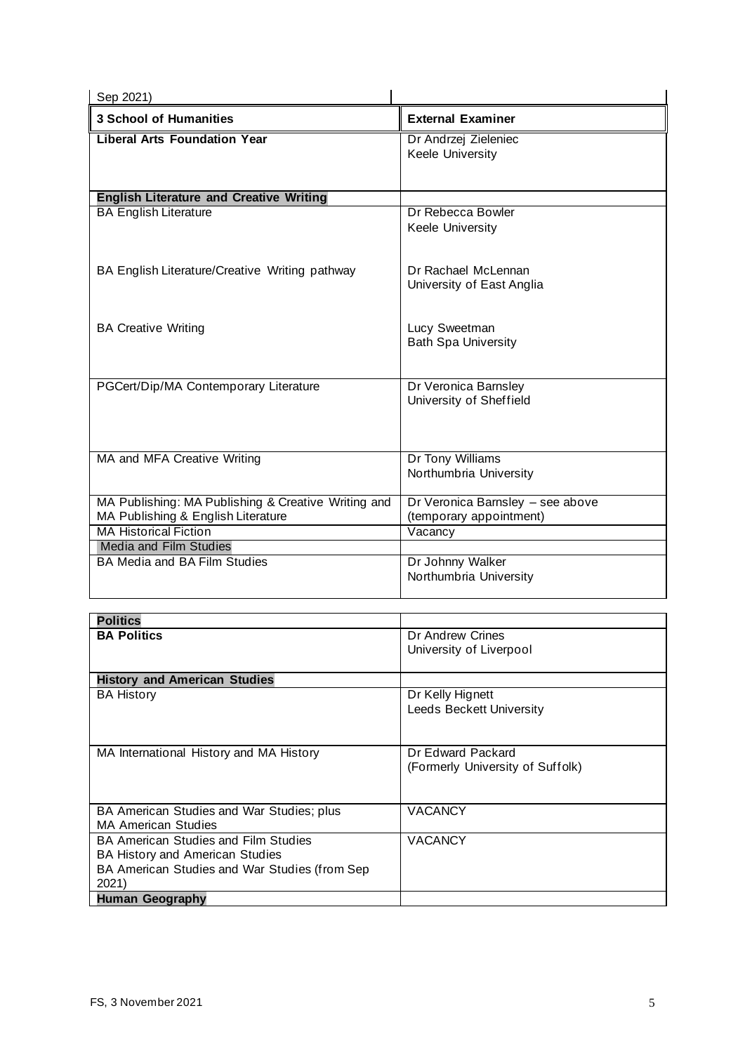| Sep 2021)                                           |                                             |
|-----------------------------------------------------|---------------------------------------------|
| <b>3 School of Humanities</b>                       | <b>External Examiner</b>                    |
| <b>Liberal Arts Foundation Year</b>                 | Dr Andrzej Zieleniec                        |
|                                                     | Keele University                            |
|                                                     |                                             |
| <b>English Literature and Creative Writing</b>      |                                             |
| <b>BA English Literature</b>                        | Dr Rebecca Bowler                           |
|                                                     | Keele University                            |
|                                                     |                                             |
| BA English Literature/Creative Writing pathway      | Dr Rachael McLennan                         |
|                                                     | University of East Anglia                   |
|                                                     |                                             |
|                                                     |                                             |
| <b>BA Creative Writing</b>                          | Lucy Sweetman<br><b>Bath Spa University</b> |
|                                                     |                                             |
|                                                     |                                             |
| PGCert/Dip/MA Contemporary Literature               | Dr Veronica Barnsley                        |
|                                                     | University of Sheffield                     |
|                                                     |                                             |
|                                                     |                                             |
| MA and MFA Creative Writing                         | Dr Tony Williams                            |
|                                                     | Northumbria University                      |
| MA Publishing: MA Publishing & Creative Writing and | Dr Veronica Barnsley - see above            |
| MA Publishing & English Literature                  | (temporary appointment)                     |
| <b>MA Historical Fiction</b>                        | Vacancy                                     |
| <b>Media and Film Studies</b>                       |                                             |
| <b>BA Media and BA Film Studies</b>                 | Dr Johnny Walker                            |
|                                                     | Northumbria University                      |
|                                                     |                                             |

| <b>Politics</b>                               |                                  |
|-----------------------------------------------|----------------------------------|
| <b>BA Politics</b>                            | Dr Andrew Crines                 |
|                                               | University of Liverpool          |
|                                               |                                  |
| <b>History and American Studies</b>           |                                  |
| <b>BA History</b>                             | Dr Kelly Hignett                 |
|                                               | <b>Leeds Beckett University</b>  |
|                                               |                                  |
|                                               |                                  |
| MA International History and MA History       | Dr Edward Packard                |
|                                               | (Formerly University of Suffolk) |
|                                               |                                  |
|                                               |                                  |
| BA American Studies and War Studies; plus     | <b>VACANCY</b>                   |
| <b>MA American Studies</b>                    |                                  |
| <b>BA American Studies and Film Studies</b>   | <b>VACANCY</b>                   |
| BA History and American Studies               |                                  |
| BA American Studies and War Studies (from Sep |                                  |
| 2021)                                         |                                  |
| Human Geography                               |                                  |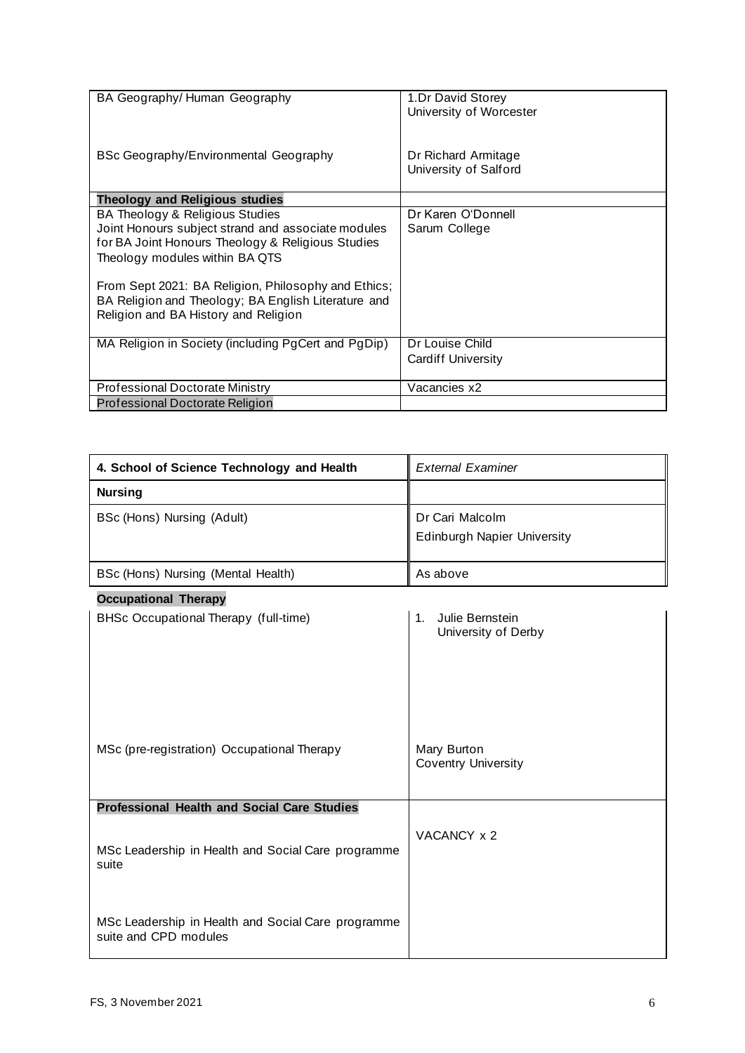| BA Geography/Human Geography                                                                                                                                                                                                                                                                                                       | 1.Dr David Storey<br>University of Worcester |
|------------------------------------------------------------------------------------------------------------------------------------------------------------------------------------------------------------------------------------------------------------------------------------------------------------------------------------|----------------------------------------------|
| BSc Geography/Environmental Geography                                                                                                                                                                                                                                                                                              | Dr Richard Armitage<br>University of Salford |
| <b>Theology and Religious studies</b>                                                                                                                                                                                                                                                                                              |                                              |
| BA Theology & Religious Studies<br>Joint Honours subject strand and associate modules<br>for BA Joint Honours Theology & Religious Studies<br>Theology modules within BA QTS<br>From Sept 2021: BA Religion, Philosophy and Ethics;<br>BA Religion and Theology; BA English Literature and<br>Religion and BA History and Religion | Dr Karen O'Donnell<br>Sarum College          |
| MA Religion in Society (including PgCert and PgDip)                                                                                                                                                                                                                                                                                | Dr Louise Child<br><b>Cardiff University</b> |
| <b>Professional Doctorate Ministry</b>                                                                                                                                                                                                                                                                                             | Vacancies x2                                 |
| <b>Professional Doctorate Religion</b>                                                                                                                                                                                                                                                                                             |                                              |

| 4. School of Science Technology and Health | <b>External Examiner</b>                              |
|--------------------------------------------|-------------------------------------------------------|
| <b>Nursing</b>                             |                                                       |
| BSc (Hons) Nursing (Adult)                 | Dr Cari Malcolm<br><b>Edinburgh Napier University</b> |
| BSc (Hons) Nursing (Mental Health)         | As above                                              |

| <b>Occupational Therapy</b>                                                 |                                              |
|-----------------------------------------------------------------------------|----------------------------------------------|
| BHSc Occupational Therapy (full-time)                                       | Julie Bernstein<br>1.<br>University of Derby |
| MSc (pre-registration) Occupational Therapy                                 | Mary Burton<br><b>Coventry University</b>    |
| <b>Professional Health and Social Care Studies</b>                          |                                              |
| MSc Leadership in Health and Social Care programme<br>suite                 | VACANCY x 2                                  |
| MSc Leadership in Health and Social Care programme<br>suite and CPD modules |                                              |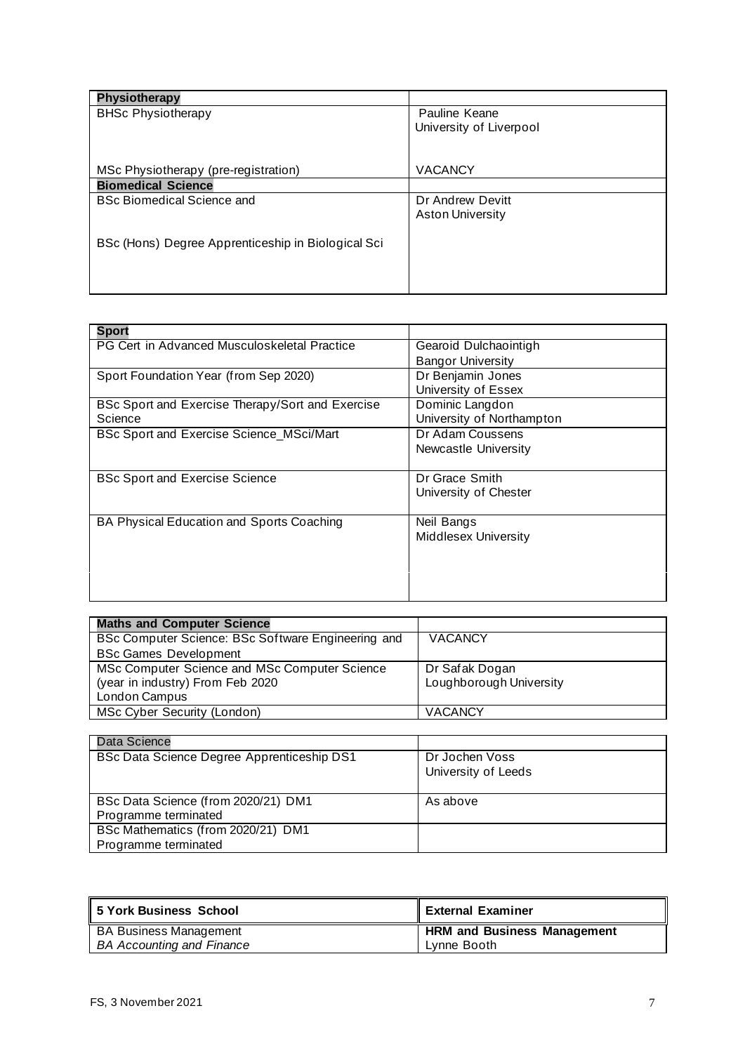| <b>Physiotherapy</b>                               |                         |
|----------------------------------------------------|-------------------------|
| <b>BHSc Physiotherapy</b>                          | Pauline Keane           |
|                                                    | University of Liverpool |
|                                                    |                         |
| MSc Physiotherapy (pre-registration)               | <b>VACANCY</b>          |
| <b>Biomedical Science</b>                          |                         |
| <b>BSc Biomedical Science and</b>                  | Dr Andrew Devitt        |
|                                                    | <b>Aston University</b> |
|                                                    |                         |
| BSc (Hons) Degree Apprenticeship in Biological Sci |                         |
|                                                    |                         |
|                                                    |                         |

| <b>Sport</b>                                     |                             |
|--------------------------------------------------|-----------------------------|
| PG Cert in Advanced Musculoskeletal Practice     | Gearoid Dulchaointigh       |
|                                                  | <b>Bangor University</b>    |
| Sport Foundation Year (from Sep 2020)            | Dr Benjamin Jones           |
|                                                  | University of Essex         |
| BSc Sport and Exercise Therapy/Sort and Exercise | Dominic Langdon             |
| Science                                          | University of Northampton   |
| BSc Sport and Exercise Science_MSci/Mart         | Dr Adam Coussens            |
|                                                  | Newcastle University        |
|                                                  |                             |
| <b>BSc Sport and Exercise Science</b>            | Dr Grace Smith              |
|                                                  | University of Chester       |
|                                                  |                             |
| BA Physical Education and Sports Coaching        | Neil Bangs                  |
|                                                  | <b>Middlesex University</b> |
|                                                  |                             |
|                                                  |                             |
|                                                  |                             |
|                                                  |                             |

| <b>Maths and Computer Science</b>                  |                         |
|----------------------------------------------------|-------------------------|
| BSc Computer Science: BSc Software Engineering and | <b>VACANCY</b>          |
| <b>BSc Games Development</b>                       |                         |
| MSc Computer Science and MSc Computer Science      | Dr Safak Dogan          |
| (year in industry) From Feb 2020                   | Loughborough University |
| London Campus                                      |                         |
| MSc Cyber Security (London)                        | <b>VACANCY</b>          |

| Data Science                               |                     |
|--------------------------------------------|---------------------|
| BSc Data Science Degree Apprenticeship DS1 | Dr Jochen Voss      |
|                                            | University of Leeds |
| BSc Data Science (from 2020/21) DM1        | As above            |
| Programme terminated                       |                     |
| BSc Mathematics (from 2020/21) DM1         |                     |
| Programme terminated                       |                     |

| 5 York Business School           | <b>External Examiner</b>           |
|----------------------------------|------------------------------------|
| <b>BA Business Management</b>    | <b>HRM and Business Management</b> |
| <b>BA Accounting and Finance</b> | Lynne Booth                        |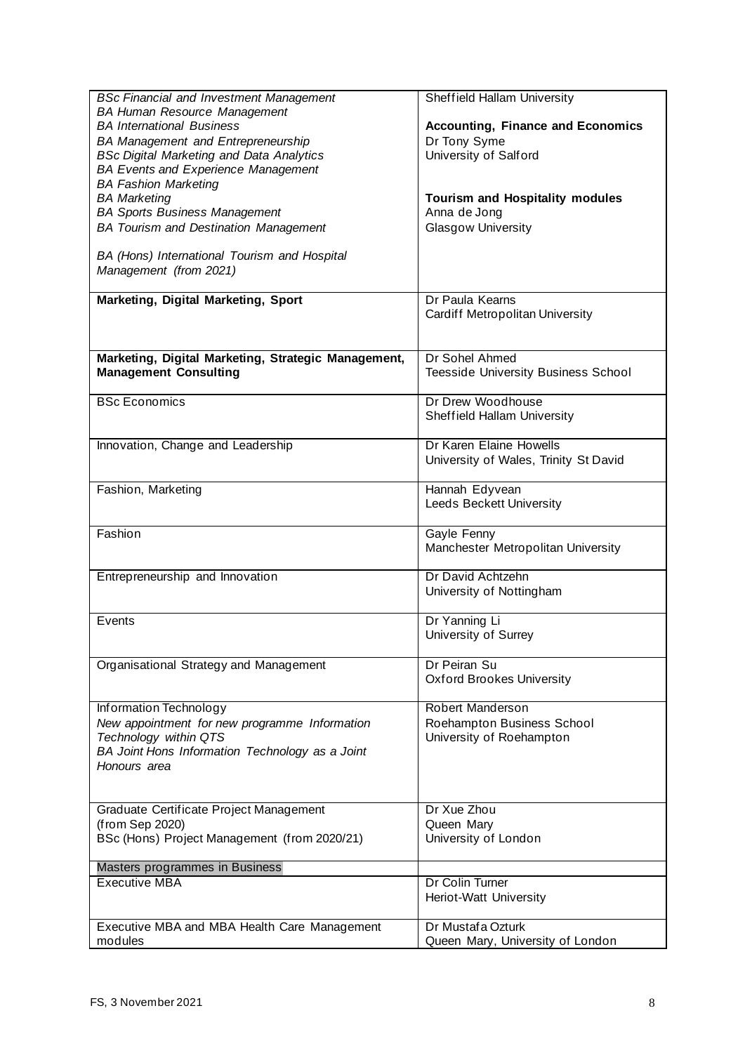| <b>BSc Financial and Investment Management</b>      | Sheffield Hallam University                |
|-----------------------------------------------------|--------------------------------------------|
| <b>BA Human Resource Management</b>                 |                                            |
| <b>BA International Business</b>                    | <b>Accounting, Finance and Economics</b>   |
| <b>BA Management and Entrepreneurship</b>           | Dr Tony Syme                               |
| <b>BSc Digital Marketing and Data Analytics</b>     | University of Salford                      |
| <b>BA Events and Experience Management</b>          |                                            |
| <b>BA Fashion Marketing</b>                         |                                            |
| <b>BA Marketing</b>                                 | <b>Tourism and Hospitality modules</b>     |
| <b>BA Sports Business Management</b>                | Anna de Jong                               |
| <b>BA Tourism and Destination Management</b>        | <b>Glasgow University</b>                  |
| BA (Hons) International Tourism and Hospital        |                                            |
| Management (from 2021)                              |                                            |
|                                                     |                                            |
| Marketing, Digital Marketing, Sport                 | Dr Paula Kearns                            |
|                                                     | Cardiff Metropolitan University            |
|                                                     |                                            |
|                                                     |                                            |
| Marketing, Digital Marketing, Strategic Management, | Dr Sohel Ahmed                             |
| <b>Management Consulting</b>                        | <b>Teesside University Business School</b> |
|                                                     |                                            |
| <b>BSc Economics</b>                                | Dr Drew Woodhouse                          |
|                                                     | Sheffield Hallam University                |
|                                                     |                                            |
| Innovation, Change and Leadership                   | Dr Karen Elaine Howells                    |
|                                                     | University of Wales, Trinity St David      |
|                                                     |                                            |
| Fashion, Marketing                                  | Hannah Edyvean                             |
|                                                     | Leeds Beckett University                   |
|                                                     |                                            |
| Fashion                                             | Gayle Fenny                                |
|                                                     | Manchester Metropolitan University         |
| Entrepreneurship and Innovation                     | Dr David Achtzehn                          |
|                                                     | University of Nottingham                   |
|                                                     |                                            |
| Events                                              | Dr Yanning Li                              |
|                                                     | University of Surrey                       |
|                                                     |                                            |
| Organisational Strategy and Management              | Dr Peiran Su                               |
|                                                     | <b>Oxford Brookes University</b>           |
|                                                     |                                            |
| Information Technology                              | <b>Robert Manderson</b>                    |
| New appointment for new programme Information       | Roehampton Business School                 |
| Technology within QTS                               | University of Roehampton                   |
| BA Joint Hons Information Technology as a Joint     |                                            |
| Honours area                                        |                                            |
|                                                     |                                            |
|                                                     |                                            |
| Graduate Certificate Project Management             | Dr Xue Zhou                                |
| (from Sep 2020)                                     | Queen Mary                                 |
| BSc (Hons) Project Management (from 2020/21)        | University of London                       |
| Masters programmes in Business                      |                                            |
| <b>Executive MBA</b>                                | Dr Colin Turner                            |
|                                                     | Heriot-Watt University                     |
|                                                     |                                            |
| Executive MBA and MBA Health Care Management        | Dr Mustafa Ozturk                          |
| modules                                             | Queen Mary, University of London           |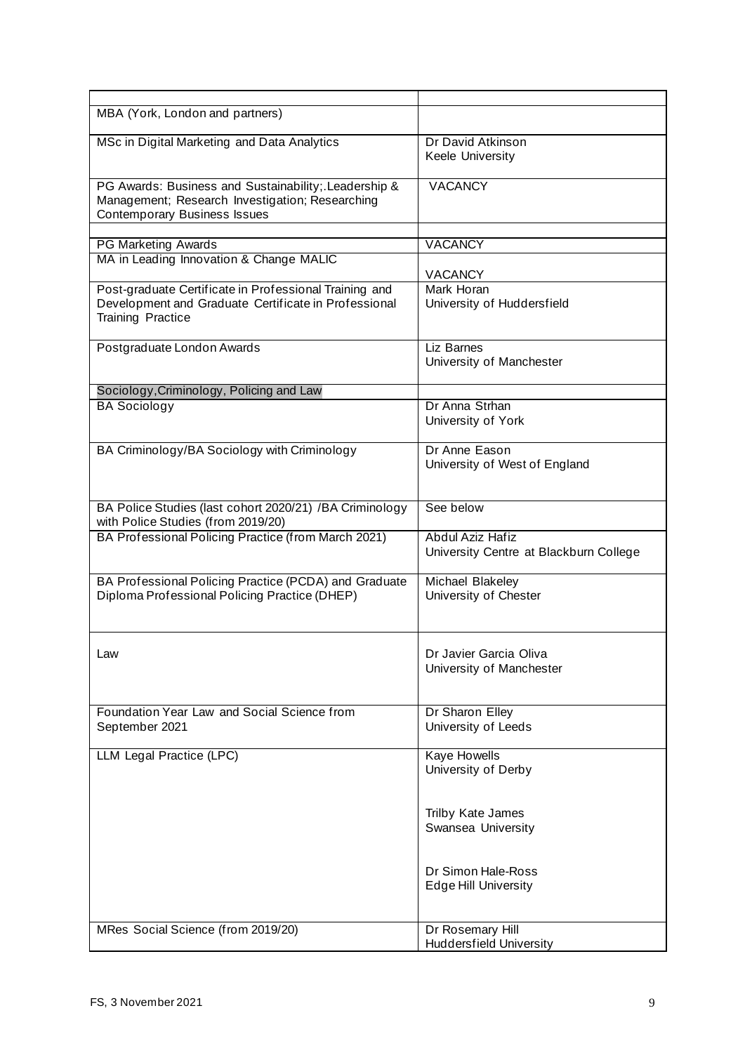| MBA (York, London and partners)                                                                                                                |                                                            |
|------------------------------------------------------------------------------------------------------------------------------------------------|------------------------------------------------------------|
| MSc in Digital Marketing and Data Analytics                                                                                                    | Dr David Atkinson<br>Keele University                      |
| PG Awards: Business and Sustainability; Leadership &<br>Management; Research Investigation; Researching<br><b>Contemporary Business Issues</b> | <b>VACANCY</b>                                             |
|                                                                                                                                                |                                                            |
| <b>PG Marketing Awards</b>                                                                                                                     | <b>VACANCY</b>                                             |
| MA in Leading Innovation & Change MALIC                                                                                                        | <b>VACANCY</b>                                             |
| Post-graduate Certificate in Professional Training and<br>Development and Graduate Certificate in Professional<br><b>Training Practice</b>     | Mark Horan<br>University of Huddersfield                   |
| Postgraduate London Awards                                                                                                                     | Liz Barnes<br>University of Manchester                     |
| Sociology, Criminology, Policing and Law                                                                                                       |                                                            |
| <b>BA Sociology</b>                                                                                                                            | Dr Anna Strhan<br>University of York                       |
| BA Criminology/BA Sociology with Criminology                                                                                                   | Dr Anne Eason<br>University of West of England             |
| BA Police Studies (last cohort 2020/21) /BA Criminology<br>with Police Studies (from 2019/20)                                                  | See below                                                  |
| BA Professional Policing Practice (from March 2021)                                                                                            | Abdul Aziz Hafiz<br>University Centre at Blackburn College |
| BA Professional Policing Practice (PCDA) and Graduate<br>Diploma Professional Policing Practice (DHEP)                                         | Michael Blakeley<br>University of Chester                  |
| Law                                                                                                                                            | Dr Javier Garcia Oliva<br>University of Manchester         |
| Foundation Year Law and Social Science from<br>September 2021                                                                                  | Dr Sharon Elley<br>University of Leeds                     |
| LLM Legal Practice (LPC)                                                                                                                       | Kaye Howells<br>University of Derby                        |
|                                                                                                                                                | Trilby Kate James<br>Swansea University                    |
|                                                                                                                                                | Dr Simon Hale-Ross<br><b>Edge Hill University</b>          |
| MRes Social Science (from 2019/20)                                                                                                             | Dr Rosemary Hill<br><b>Huddersfield University</b>         |